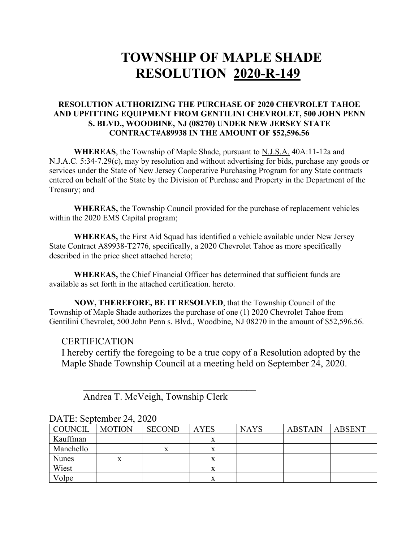# **TOWNSHIP OF MAPLE SHADE RESOLUTION 2020-R-149**

#### **RESOLUTION AUTHORIZING THE PURCHASE OF 2020 CHEVROLET TAHOE AND UPFITTING EQUIPMENT FROM GENTILINI CHEVROLET, 500 JOHN PENN S. BLVD., WOODBINE, NJ (08270) UNDER NEW JERSEY STATE CONTRACT#A89938 IN THE AMOUNT OF \$52,596.56**

**WHEREAS**, the Township of Maple Shade, pursuant to N.J.S.A. 40A:11-12a and N.J.A.C. 5:34-7.29(c), may by resolution and without advertising for bids, purchase any goods or services under the State of New Jersey Cooperative Purchasing Program for any State contracts entered on behalf of the State by the Division of Purchase and Property in the Department of the Treasury; and

**WHEREAS,** the Township Council provided for the purchase of replacement vehicles within the 2020 EMS Capital program;

**WHEREAS,** the First Aid Squad has identified a vehicle available under New Jersey State Contract A89938-T2776, specifically, a 2020 Chevrolet Tahoe as more specifically described in the price sheet attached hereto;

**WHEREAS,** the Chief Financial Officer has determined that sufficient funds are available as set forth in the attached certification. hereto.

**NOW, THEREFORE, BE IT RESOLVED**, that the Township Council of the Township of Maple Shade authorizes the purchase of one (1) 2020 Chevrolet Tahoe from Gentilini Chevrolet, 500 John Penn s. Blvd., Woodbine, NJ 08270 in the amount of \$52,596.56.

#### CERTIFICATION

I hereby certify the foregoing to be a true copy of a Resolution adopted by the Maple Shade Township Council at a meeting held on September 24, 2020.

Andrea T. McVeigh, Township Clerk

 $\overline{\phantom{a}}$ 

| COUNCIL      | <b>MOTION</b> | <b>SECOND</b> | <b>AYES</b> | <b>NAYS</b> | <b>ABSTAIN</b> | <b>ABSENT</b> |
|--------------|---------------|---------------|-------------|-------------|----------------|---------------|
| Kauffman     |               |               |             |             |                |               |
| Manchello    |               | x             |             |             |                |               |
| <b>Nunes</b> |               |               |             |             |                |               |
| Wiest        |               |               |             |             |                |               |
| Volpe        |               |               |             |             |                |               |

## DATE: September 24, 2020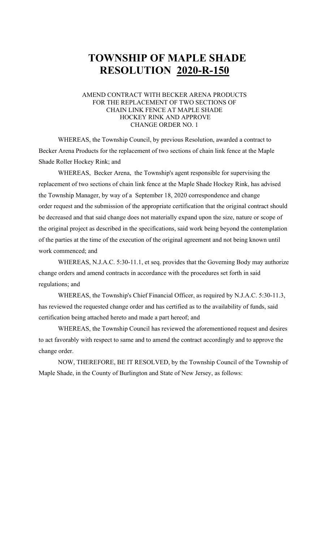# **TOWNSHIP OF MAPLE SHADE RESOLUTION 2020-R-150**

#### AMEND CONTRACT WITH BECKER ARENA PRODUCTS FOR THE REPLACEMENT OF TWO SECTIONS OF CHAIN LINK FENCE AT MAPLE SHADE HOCKEY RINK AND APPROVE CHANGE ORDER NO. 1

WHEREAS, the Township Council, by previous Resolution, awarded a contract to Becker Arena Products for the replacement of two sections of chain link fence at the Maple Shade Roller Hockey Rink; and

WHEREAS, Becker Arena, the Township's agent responsible for supervising the replacement of two sections of chain link fence at the Maple Shade Hockey Rink, has advised the Township Manager, by way of a September 18, 2020 correspondence and change order request and the submission of the appropriate certification that the original contract should be decreased and that said change does not materially expand upon the size, nature or scope of the original project as described in the specifications, said work being beyond the contemplation of the parties at the time of the execution of the original agreement and not being known until work commenced; and

WHEREAS, N.J.A.C. 5:30-11.1, et seq. provides that the Governing Body may authorize change orders and amend contracts in accordance with the procedures set forth in said regulations; and

WHEREAS, the Township's Chief Financial Officer, as required by N.J.A.C. 5:30-11.3, has reviewed the requested change order and has certified as to the availability of funds, said certification being attached hereto and made a part hereof; and

WHEREAS, the Township Council has reviewed the aforementioned request and desires to act favorably with respect to same and to amend the contract accordingly and to approve the change order.

NOW, THEREFORE, BE IT RESOLVED, by the Township Council of the Township of Maple Shade, in the County of Burlington and State of New Jersey, as follows: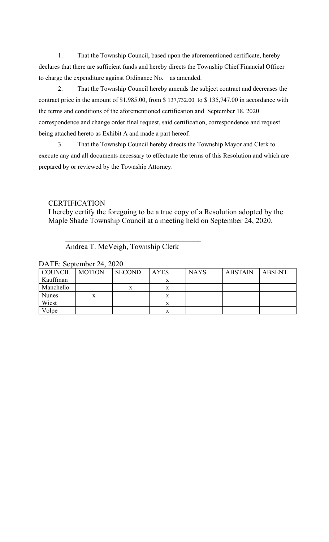1. That the Township Council, based upon the aforementioned certificate, hereby declares that there are sufficient funds and hereby directs the Township Chief Financial Officer to charge the expenditure against Ordinance No. as amended.

2. That the Township Council hereby amends the subject contract and decreases the contract price in the amount of \$1,985.00, from \$ 137,732.00 to \$ 135,747.00 in accordance with the terms and conditions of the aforementioned certification and September 18, 2020 correspondence and change order final request, said certification, correspondence and request being attached hereto as Exhibit A and made a part hereof.

3. That the Township Council hereby directs the Township Mayor and Clerk to execute any and all documents necessary to effectuate the terms of this Resolution and which are prepared by or reviewed by the Township Attorney.

### **CERTIFICATION**

I hereby certify the foregoing to be a true copy of a Resolution adopted by the Maple Shade Township Council at a meeting held on September 24, 2020.

Andrea T. McVeigh, Township Clerk

 $\overline{\phantom{a}}$ 

| <b>COUNCIL</b> | <b>MOTION</b> | <b>SECOND</b> | <b>AYES</b> | <b>NAYS</b> | <b>ABSTAIN</b> | <b>ABSENT</b> |  |
|----------------|---------------|---------------|-------------|-------------|----------------|---------------|--|
| Kauffman       |               |               |             |             |                |               |  |
| Manchello      |               |               |             |             |                |               |  |
| <b>Nunes</b>   |               |               |             |             |                |               |  |
| Wiest          |               |               |             |             |                |               |  |
| Volpe          |               |               |             |             |                |               |  |

#### DATE: September 24, 2020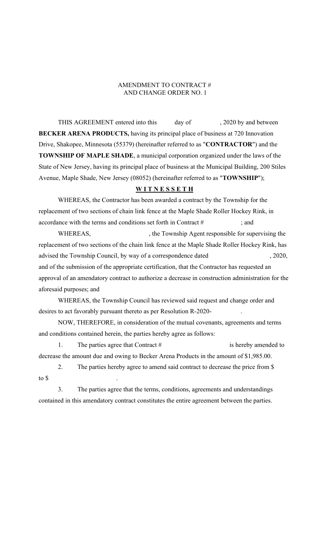#### AMENDMENT TO CONTRACT # AND CHANGE ORDER NO. 1

THIS AGREEMENT entered into this day of , 2020 by and between **BECKER ARENA PRODUCTS,** having its principal place of business at 720 Innovation Drive, Shakopee, Minnesota (55379) (hereinafter referred to as "**CONTRACTOR**") and the **TOWNSHIP OF MAPLE SHADE**, a municipal corporation organized under the laws of the State of New Jersey, having its principal place of business at the Municipal Building, 200 Stiles Avenue, Maple Shade, New Jersey (08052) (hereinafter referred to as "**TOWNSHIP**");

#### **W I T N E S S E T H**

WHEREAS, the Contractor has been awarded a contract by the Township for the replacement of two sections of chain link fence at the Maple Shade Roller Hockey Rink, in accordance with the terms and conditions set forth in Contract # ; and

WHEREAS,  $\blacksquare$ , the Township Agent responsible for supervising the replacement of two sections of the chain link fence at the Maple Shade Roller Hockey Rink, has advised the Township Council, by way of a correspondence dated , 2020, and of the submission of the appropriate certification, that the Contractor has requested an approval of an amendatory contract to authorize a decrease in construction administration for the aforesaid purposes; and

WHEREAS, the Township Council has reviewed said request and change order and desires to act favorably pursuant thereto as per Resolution R-2020- .

NOW, THEREFORE, in consideration of the mutual covenants, agreements and terms and conditions contained herein, the parties hereby agree as follows:

1. The parties agree that Contract # is hereby amended to decrease the amount due and owing to Becker Arena Products in the amount of \$1,985.00.

2. The parties hereby agree to amend said contract to decrease the price from \$ to \$

3. The parties agree that the terms, conditions, agreements and understandings contained in this amendatory contract constitutes the entire agreement between the parties.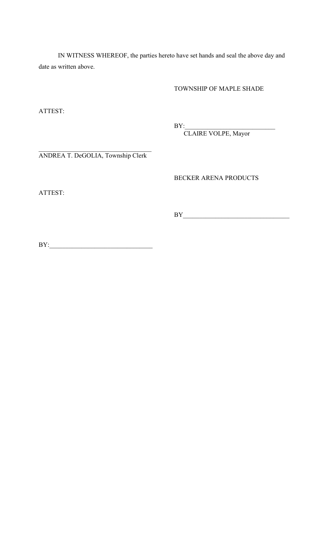IN WITNESS WHEREOF, the parties hereto have set hands and seal the above day and date as written above.

TOWNSHIP OF MAPLE SHADE

ATTEST:

BY:\_\_\_\_\_\_\_\_\_\_\_\_\_\_\_\_\_\_\_\_\_\_\_\_\_\_\_\_

CLAIRE VOLPE, Mayor

ANDREA T. DeGOLIA, Township Clerk

BECKER ARENA PRODUCTS

ATTEST:

BY\_\_\_\_\_\_\_\_\_\_\_\_\_\_\_\_\_\_\_\_\_\_\_\_\_\_\_\_\_\_\_\_\_

BY:\_\_\_\_\_\_\_\_\_\_\_\_\_\_\_\_\_\_\_\_\_\_\_\_\_\_\_\_\_\_\_\_